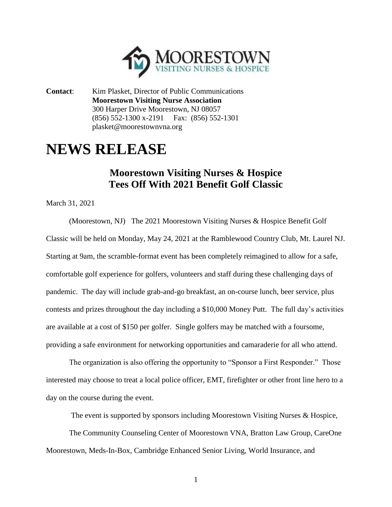

**Contact**: Kim Plasket, Director of Public Communications **Moorestown Visiting Nurse Association** 300 Harper Drive Moorestown, NJ 08057 (856) 552-1300 x-2191 Fax: (856) 552-1301 plasket@moorestownvna.org

## **NEWS RELEASE**

## **Moorestown Visiting Nurses & Hospice Tees Off With 2021 Benefit Golf Classic**

March 31, 2021

(Moorestown, NJ) The 2021 Moorestown Visiting Nurses & Hospice Benefit Golf Classic will be held on Monday, May 24, 2021 at the Ramblewood Country Club, Mt. Laurel NJ. Starting at 9am, the scramble-format event has been completely reimagined to allow for a safe, comfortable golf experience for golfers, volunteers and staff during these challenging days of pandemic. The day will include grab-and-go breakfast, an on-course lunch, beer service, plus contests and prizes throughout the day including a \$10,000 Money Putt. The full day's activities are available at a cost of \$150 per golfer. Single golfers may be matched with a foursome, providing a safe environment for networking opportunities and camaraderie for all who attend.

The organization is also offering the opportunity to "Sponsor a First Responder." Those interested may choose to treat a local police officer, EMT, firefighter or other front line hero to a day on the course during the event.

The event is supported by sponsors including Moorestown Visiting Nurses & Hospice,

The Community Counseling Center of Moorestown VNA, Bratton Law Group, CareOne Moorestown, Meds-In-Box, Cambridge Enhanced Senior Living, World Insurance, and

1